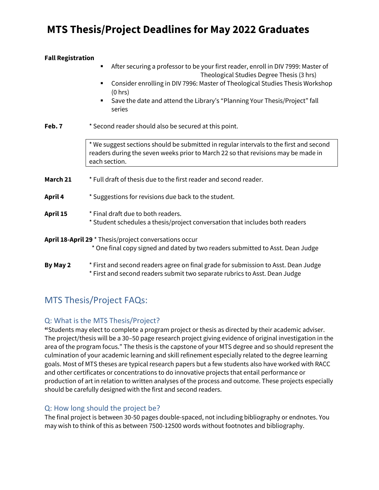# **MTS Thesis/Project Deadlines for May 2022 Graduates**

#### **Fall Registration**

- After securing a professor to be your first reader, enroll in DIV 7999: Master of Theological Studies Degree Thesis (3 hrs)
- Consider enrolling in DIV 7996: Master of Theological Studies Thesis Workshop (0 hrs)
- Save the date and attend the Library's "Planning Your Thesis/Project" fall series

**Feb. 7** \* Second reader should also be secured at this point.

\* We suggest sections should be submitted in regular intervals to the first and second readers during the seven weeks prior to March 22 so that revisions may be made in each section.

**March 21** \* Full draft of thesis due to the first reader and second reader.

#### **April 4** \* Suggestions for revisions due back to the student.

- **April 15** \* Final draft due to both readers.
	- \* Student schedules a thesis/project conversation that includes both readers

#### **April 18-April 29** \* Thesis/project conversations occur

\* One final copy signed and dated by two readers submitted to Asst. Dean Judge

## **By May 2** \* First and second readers agree on final grade for submission to Asst. Dean Judge \* First and second readers submit two separate rubrics to Asst. Dean Judge

# MTS Thesis/Project FAQs:

## Q: What is the MTS Thesis/Project?

**"**Students may elect to complete a program project or thesis as directed by their academic adviser. The project/thesis will be a 30–50 page research project giving evidence of original investigation in the area of the program focus." The thesis is the capstone of your MTS degree and so should represent the culmination of your academic learning and skill refinement especially related to the degree learning goals. Most of MTS theses are typical research papers but a few students also have worked with RACC and other certificates or concentrations to do innovative projects that entail performance or production of art in relation to written analyses of the process and outcome. These projects especially should be carefully designed with the first and second readers.

## Q: How long should the project be?

The final project is between 30-50 pages double-spaced, not including bibliography or endnotes. You may wish to think of this as between 7500-12500 words without footnotes and bibliography.